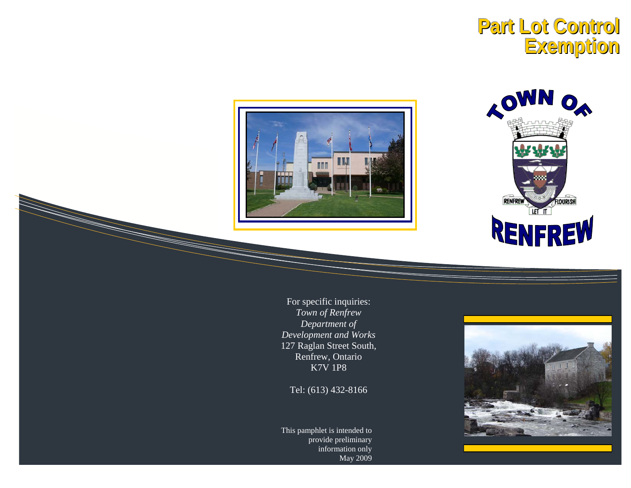# Part Lot Control **Exemption**





For specific inquiries: Town of Renfrew Department of Development and Works 127 Raglan Street South, Renfrew, Ontario **K7V 1P8** 

Tel: (613) 432-8166

This pamphlet is intended to provide preliminary information only May 2009